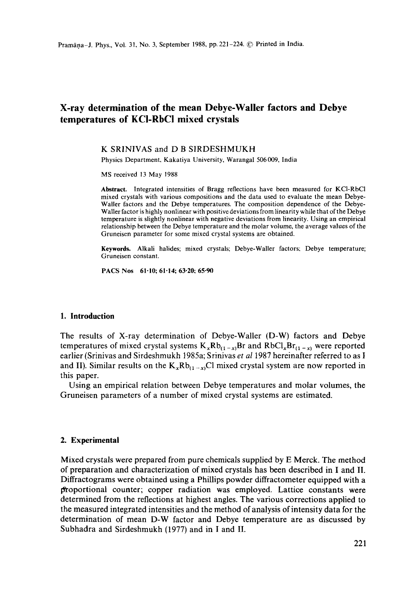# **X-ray determination of the mean Debye-Waller factors and Debye temperatures of KCI-RbC! mixed crystals**

### **K** SRINIVAS and **D B** SIRDESHMUKH

Physics Department, Kakatiya University, Warangal 506009, India

MS received 13May 1988

**Abstract.** Integrated intensities of Bragg reflections have been measured for KCI-RbCI mixed crystals with various compositions and the data used to evaluate the mean Debye-Wailer factors and the Debye temperatures. The composition dependence of the Debye-Waller factor is highly nonlinear with positive deviations from linearity while that of the **Debye**  temperature is slightly nonlinear with negative deviations from linearity. Using an empirical relationship between the Debye temperature and the molar volume, the average values of **the**  Gruneisen parameter for some mixed crystal systems are obtained.

**Keywords.** Alkali halides; mixed crystals; Debye-Waller factors; Debye temperature; Gruneisen constant.

PACS Nos 61-10; 61.14; 63.20; 65.90

#### **1. Introduction**

The results of X-ray determination of Debye-Waller (D-W) factors and Debye temperatures of mixed crystal systems  $K_xRb_{(1-x)}Br$  and  $RbCl_xBr_{(1-x)}$  were reported earlier (Srinivas and Sirdeshmukh 1985a; Srinivas *et a11987* hereinafter referred to as I and II). Similar results on the  $K_x Rb_{(1-x)}Cl$  mixed crystal system are now reported in this paper.

Using an empirical relation between Debye temperatures and molar volumes, the Gruneisen parameters of a number of mixed crystal systems are estimated.

### 2. **Experimental**

Mixed crystals were prepared from pure chemicals supplied by E Merck. The method of preparation and characterization of mixed crystals has been described in I and II. Diffractograms were obtained using a Phillips powder diffractometer equipped with a proportional counter; copper radiation was employed. Lattice constants were determined from the reflections at highest angles. The various corrections applied to the measured integrated intensities and the method of analysis of intensity data for the determination of mean D-W factor and Debye temperature are as discussed by Subhadra and Sirdeshmukh (1977) and in I and II.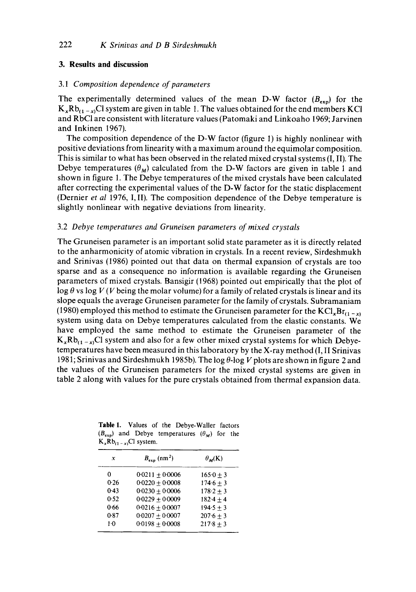# **3. Results and discussion**

# 3.1 *Composition dependence of parameters*

The experimentally determined values of the mean D-W factor  $(B_{\text{exp}})$  for the  $K_{x}Rb_{(1-x)}C1$  system are given in table 1. The values obtained for the end members KCl and RbC1 are consistent with literature values (Patomaki and Linkoaho 1969; Jarvinen and Inkinen 1967).

The composition dependence of the D-W factor (figure 1) is highly nonlinear with positive deviations from linearity with a maximum around the equimolar composition. This is similar to what has been observed in the related mixed crystal systems (I, II). The Debye temperatures  $(\theta_M)$  calculated from the D-W factors are given in table 1 and shown in figure 1. The Debye temperatures of the mixed crystals have been calculated after correcting the experimental values of the D-W factor for the static displacement (Dernier *et al* 1976, I, II). The composition dependence of the Debye temperature is slightly nonlinear with negative deviations from linearity.

# 3.2 *Debye temperatures and Gruneisen parameters of mixed crystals*

The Gruneisen parameter is an important solid state parameter as it is directly related to the anharmonicity of atomic vibration in crystals. In a recent review, Sirdeshmukh and Srinivas (1986) pointed out that data on thermal expansion of crystals are too sparse and as a consequence no information is available regarding the Gruneisen parameters of mixed crystals. Bansigir (1968) pointed out empirically that the plot of log  $\theta$  vs log V (V being the molar volume) for a family of related crystals is linear and its slope equals the average Gruneisen parameter for the family of crystals. Subramaniam (1980) employed this method to estimate the Gruneisen parameter for the  $KCl_xBr_{(1-x)}$ system using data on Debye temperatures calculated from the elastic constants. We have employed the same method to estimate the Gruneisen parameter of the  $K_xRb_{(1-x)}Cl$  system and also for a few other mixed crystal systems for which Debyetemperatures have been measured in this laboratory by the X-ray method (I, II Srinivas 1981; Srinivas and Sirdeshmukh 1985b). The log  $\theta$ -log V plots are shown in figure 2 and the values of the Gruneisen parameters for the mixed crystal systems are given in table 2 along with values for the pure crystals obtained from thermal expansion data.

Table I. Values of the Debye-Waller factors  $(B_{exp})$  and Debye temperatures  $(\theta_M)$  for the  $K_xRb_{(1-x)}Cl$  system.

| x     | $B_{\text{exp}}$ (nm <sup>2</sup> ) | $\theta_{\mathcal{M}}(K)$ |  |
|-------|-------------------------------------|---------------------------|--|
| o     | $0.0211 + 0.0006$                   | $1650 + 3$                |  |
| 0.26  | $0.0220 + 0.0008$                   | $174.6 + 3$               |  |
| 0.43  | $0.0230 + 0.0006$                   | $178.2 + 3$               |  |
| 0.52  | $0.0229 + 0.0009$                   | $182.4 + 4$               |  |
| 0.66  | $0.0216 \pm 0.0007$                 | $194.5 + 3$               |  |
| 0.87  | $0.0207 + 0.0007$                   | $207.6 + 3$               |  |
| $1-0$ | $0.0198 + 0.0008$                   | $217.8 + 3$               |  |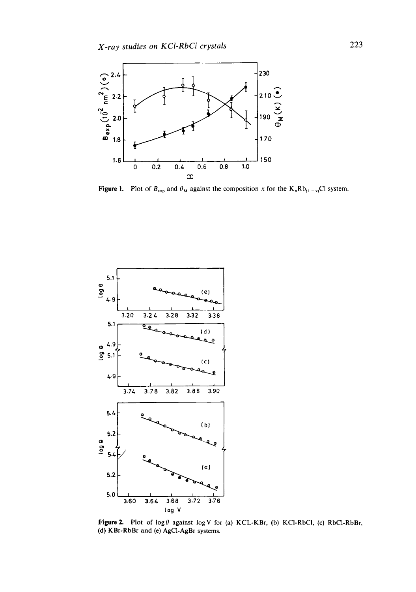

**Figure 1.** Plot of  $B_{\text{exp}}$  and  $\theta_M$  against the composition x for the  $K_x R b_{(1-x)} C1$  system.



Figure 2. Plot of  $log \theta$  against  $log V$  for (a) KCL-KBr, (b) KCl-RbCl, (c) RbCl-RbBr, (d) RBr-RbBr and (e) AgCI-AgBr systems.